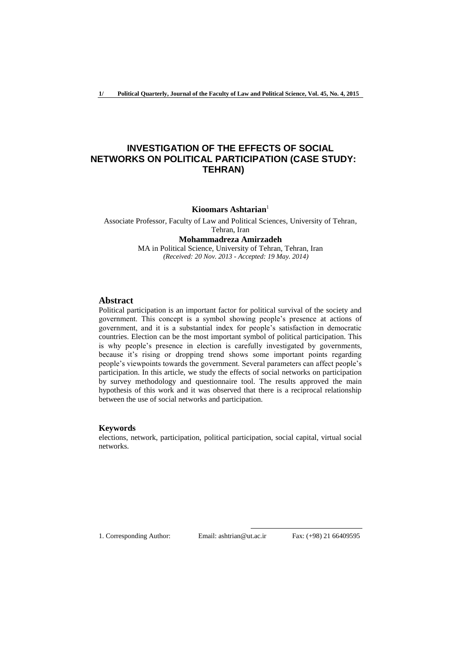# **INVESTIGATION OF THE EFFECTS OF SOCIAL NETWORKS ON POLITICAL PARTICIPATION (CASE STUDY: TEHRAN)**

**Kioomars Ashtarian**<sup>1</sup>

Associate Professor, Faculty of Law and Political Sciences, University of Tehran, Tehran, Iran **Mohammadreza Amirzadeh** MA in Political Science, University of Tehran, Tehran, Iran *(Received: 20 Nov. 2013 - Accepted: 19 May. 2014)*

## **Abstract**

Political participation is an important factor for political survival of the society and government. This concept is a symbol showing people's presence at actions of government, and it is a substantial index for people's satisfaction in democratic countries. Election can be the most important symbol of political participation. This is why people's presence in election is carefully investigated by governments, because it's rising or dropping trend shows some important points regarding people's viewpoints towards the government. Several parameters can affect people's participation. In this article, we study the effects of social networks on participation by survey methodology and questionnaire tool. The results approved the main hypothesis of this work and it was observed that there is a reciprocal relationship between the use of social networks and participation.

## **Keywords**

elections, network, participation, political participation, social capital, virtual social networks.

1. Corresponding Author: Email: ashtrian@ut.ac.ir Fax: (+98) 21 66409595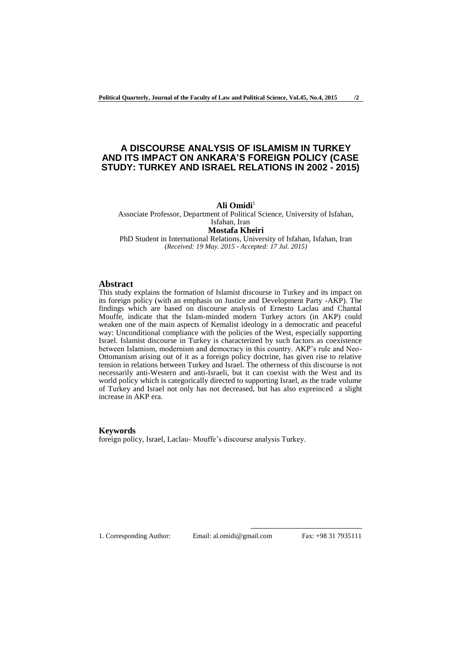## **A DISCOURSE ANALYSIS OF ISLAMISM IN TURKEY AND ITS IMPACT ON ANKARA'S FOREIGN POLICY (CASE STUDY: TURKEY AND ISRAEL RELATIONS IN 2002 - 2015)**

#### Ali Omidi<sup>1</sup>

Associate Professor, Department of Political Science, University of Isfahan, Isfahan, Iran **Mostafa Kheiri** PhD Student in International Relations, University of Isfahan, Isfahan, Iran *(Received: 19 May. 2015 - Accepted: 17 Jul. 2015)*

## **Abstract**

This study explains the formation of Islamist discourse in Turkey and its impact on its foreign policy (with an emphasis on Justice and Development Party -AKP). The findings which are based on discourse analysis of Ernesto Laclau and Chantal Mouffe, indicate that the Islam-minded modern Turkey actors (in AKP) could weaken one of the main aspects of Kemalist ideology in a democratic and peaceful way: Unconditional compliance with the policies of the West, especially supporting Israel. Islamist discourse in Turkey is characterized by such factors as coexistence between Islamism, modernism and democracy in this country. AKP's rule and Neo-Ottomanism arising out of it as a foreign policy doctrine, has given rise to relative tension in relations between Turkey and Israel. The otherness of this discourse is not necessarily anti-Western and anti-Israeli, but it can coexist with the West and its world policy which is categorically directed to supporting Israel, as the trade volume of Turkey and Israel not only has not decreased, but has also expreinced a slight increase in AKP era.

## **Keywords**

foreign policy, Israel, Laclau- Mouffe's discourse analysis Turkey.

1. Corresponding Author: Email: al.omidi@gmail.com Fax: +98 31 7935111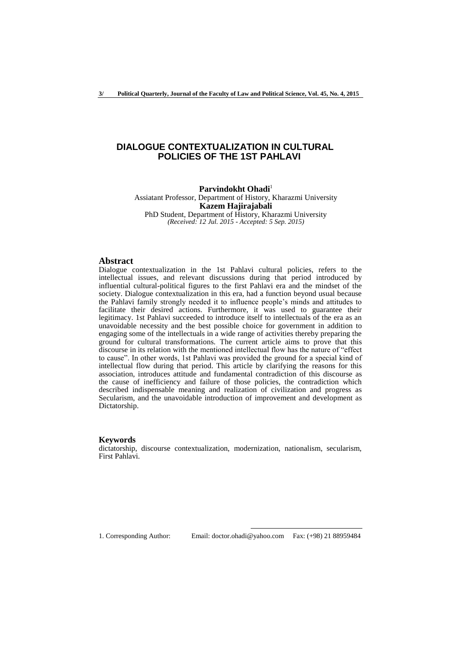## **DIALOGUE CONTEXTUALIZATION IN CULTURAL POLICIES OF THE 1ST PAHLAVI**

Parvindokht Ohadi<sup>1</sup> Assiatant Professor, Department of History, Kharazmi University **Kazem Hajirajabali**  PhD Student, Department of History, Kharazmi University

*(Received: 12 Jul. 2015 - Accepted: 5 Sep. 2015)*

### **Abstract**

Dialogue contextualization in the 1st Pahlavi cultural policies, refers to the intellectual issues, and relevant discussions during that period introduced by influential cultural-political figures to the first Pahlavi era and the mindset of the society. Dialogue contextualization in this era, had a function beyond usual because the Pahlavi family strongly needed it to influence people's minds and attitudes to facilitate their desired actions. Furthermore, it was used to guarantee their legitimacy. 1st Pahlavi succeeded to introduce itself to intellectuals of the era as an unavoidable necessity and the best possible choice for government in addition to engaging some of the intellectuals in a wide range of activities thereby preparing the ground for cultural transformations. The current article aims to prove that this discourse in its relation with the mentioned intellectual flow has the nature of "effect to cause". In other words, 1st Pahlavi was provided the ground for a special kind of intellectual flow during that period. This article by clarifying the reasons for this association, introduces attitude and fundamental contradiction of this discourse as the cause of inefficiency and failure of those policies, the contradiction which described indispensable meaning and realization of civilization and progress as Secularism, and the unavoidable introduction of improvement and development as Dictatorship.

#### **Keywords**

dictatorship, discourse contextualization, modernization, nationalism, secularism, First Pahlavi.

1. Corresponding Author: Email: doctor.ohadi@yahoo.com Fax: (+98) 21 88959484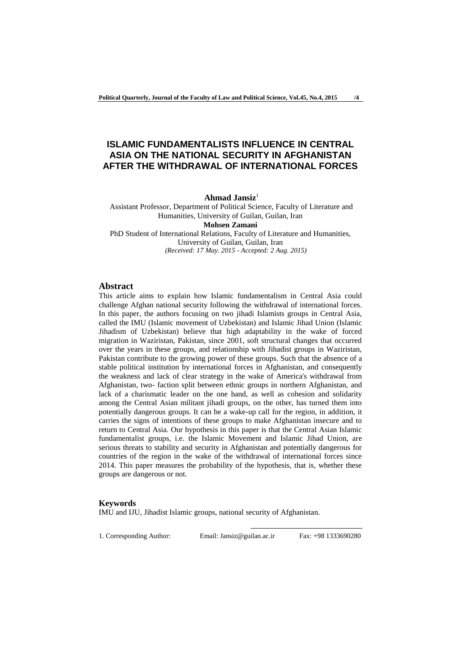# **ISLAMIC FUNDAMENTALISTS INFLUENCE IN CENTRAL ASIA ON THE NATIONAL SECURITY IN AFGHANISTAN AFTER THE WITHDRAWAL OF INTERNATIONAL FORCES**

#### **Ahmad Jansiz**<sup>1</sup>

Assistant Professor, Department of Political Science, Faculty of Literature and Humanities, University of Guilan, Guilan, Iran **Mohsen Zamani** PhD Student of International Relations, Faculty of Literature and Humanities,

University of Guilan, Guilan, Iran *(Received: 17 May. 2015 - Accepted: 2 Aug. 2015)*

## **Abstract**

This article aims to explain how Islamic fundamentalism in Central Asia could challenge Afghan national security following the withdrawal of international forces. In this paper, the authors focusing on two jihadi Islamists groups in Central Asia, called the IMU (Islamic movement of Uzbekistan) and Islamic Jihad Union (Islamic Jihadism of Uzbekistan) believe that high adaptability in the wake of forced migration in Waziristan, Pakistan, since 2001, soft structural changes that occurred over the years in these groups, and relationship with Jihadist groups in Waziristan, Pakistan contribute to the growing power of these groups. Such that the absence of a stable political institution by international forces in Afghanistan, and consequently the weakness and lack of clear strategy in the wake of America's withdrawal from Afghanistan, two- faction split between ethnic groups in northern Afghanistan, and lack of a charismatic leader on the one hand, as well as cohesion and solidarity among the Central Asian militant jihadi groups, on the other, has turned them into potentially dangerous groups. It can be a wake-up call for the region, in addition, it carries the signs of intentions of these groups to make Afghanistan insecure and to return to Central Asia. Our hypothesis in this paper is that the Central Asian Islamic fundamentalist groups, i.e. the Islamic Movement and Islamic Jihad Union, are serious threats to stability and security in Afghanistan and potentially dangerous for countries of the region in the wake of the withdrawal of international forces since 2014. This paper measures the probability of the hypothesis, that is, whether these groups are dangerous or not.

#### **Keywords**

IMU and IJU, Jihadist Islamic groups, national security of Afghanistan.

1. Corresponding Author: Email: Jansiz@guilan.ac.ir Fax: +98 1333690280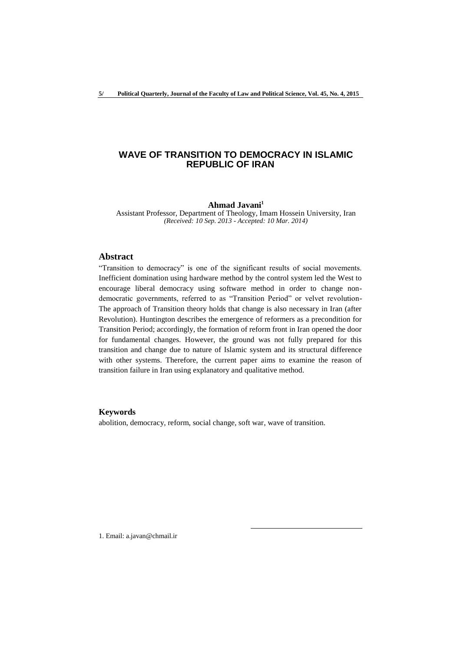## **WAVE OF TRANSITION TO DEMOCRACY IN ISLAMIC REPUBLIC OF IRAN**

#### **Ahmad Javani<sup>1</sup>**

Assistant Professor, Department of Theology, Imam Hossein University, Iran *(Received: 10 Sep. 2013 - Accepted: 10 Mar. 2014)*

## **Abstract**

"Transition to democracy" is one of the significant results of social movements. Inefficient domination using hardware method by the control system led the West to encourage liberal democracy using software method in order to change nondemocratic governments, referred to as "Transition Period" or velvet revolution-The approach of Transition theory holds that change is also necessary in Iran (after Revolution). Huntington describes the emergence of reformers as a precondition for Transition Period; accordingly, the formation of reform front in Iran opened the door for fundamental changes. However, the ground was not fully prepared for this transition and change due to nature of Islamic system and its structural difference with other systems. Therefore, the current paper aims to examine the reason of transition failure in Iran using explanatory and qualitative method.

## **Keywords**

abolition, democracy, reform, social change, soft war, wave of transition.

1

1. Email: a.javan@chmail.ir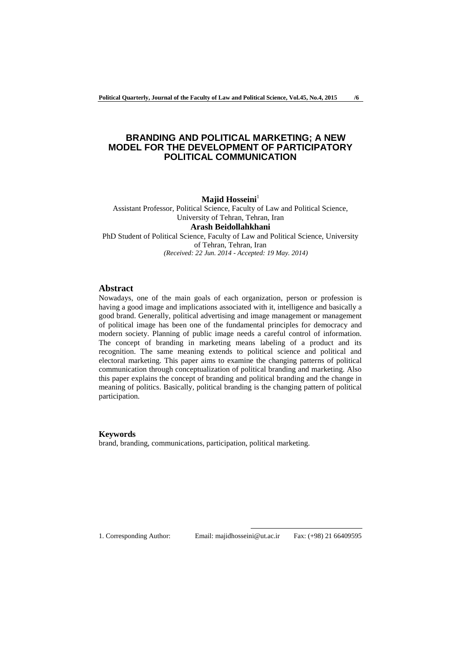## **BRANDING AND POLITICAL MARKETING; A NEW MODEL FOR THE DEVELOPMENT OF PARTICIPATORY POLITICAL COMMUNICATION**

#### **Majid Hosseini**<sup>1</sup>

Assistant Professor, Political Science, Faculty of Law and Political Science, University of Tehran, Tehran, Iran **Arash Beidollahkhani** PhD Student of Political Science, Faculty of Law and Political Science, University of Tehran, Tehran, Iran

*(Received: 22 Jun. 2014 - Accepted: 19 May. 2014)*

### **Abstract**

Nowadays, one of the main goals of each organization, person or profession is having a good image and implications associated with it, intelligence and basically a good brand. Generally, political advertising and image management or management of political image has been one of the fundamental principles for democracy and modern society. Planning of public image needs a careful control of information. The concept of branding in marketing means labeling of a product and its recognition. The same meaning extends to political science and political and electoral marketing. This paper aims to examine the changing patterns of political communication through conceptualization of political branding and marketing. Also this paper explains the concept of branding and political branding and the change in meaning of politics. Basically, political branding is the changing pattern of political participation.

#### **Keywords**

brand, branding, communications, participation, political marketing.

1. Corresponding Author: Email: majidhosseini@ut.ac.ir Fax: (+98) 21 66409595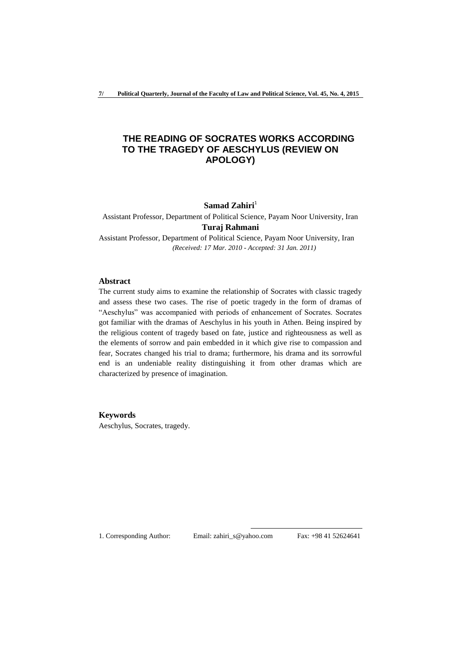# **THE READING OF SOCRATES WORKS ACCORDING TO THE TRAGEDY OF AESCHYLUS (REVIEW ON APOLOGY)**

### **Samad Zahiri**<sup>1</sup>

Assistant Professor, Department of Political Science, Payam Noor University, Iran **Turaj Rahmani**

Assistant Professor, Department of Political Science, Payam Noor University, Iran *(Received: 17 Mar. 2010 - Accepted: 31 Jan. 2011)*

## **Abstract**

The current study aims to examine the relationship of Socrates with classic tragedy and assess these two cases. The rise of poetic tragedy in the form of dramas of "Aeschylus" was accompanied with periods of enhancement of Socrates. Socrates got familiar with the dramas of Aeschylus in his youth in Athen. Being inspired by the religious content of tragedy based on fate, justice and righteousness as well as the elements of sorrow and pain embedded in it which give rise to compassion and fear, Socrates changed his trial to drama; furthermore, his drama and its sorrowful end is an undeniable reality distinguishing it from other dramas which are characterized by presence of imagination.

### **Keywords**

Aeschylus, Socrates, tragedy.

1. Corresponding Author: Email: zahiri\_s@yahoo.com Fax: +98 41 52624641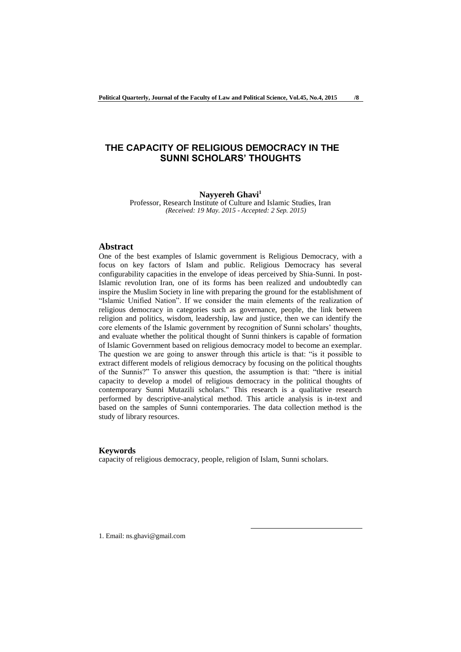# **THE CAPACITY OF RELIGIOUS DEMOCRACY IN THE SUNNI SCHOLARS' THOUGHTS**

#### **Nayyereh Ghavi<sup>1</sup>**

Professor, Research Institute of Culture and Islamic Studies, Iran *(Received: 19 May. 2015 - Accepted: 2 Sep. 2015)*

### **Abstract**

One of the best examples of Islamic government is Religious Democracy, with a focus on key factors of Islam and public. Religious Democracy has several configurability capacities in the envelope of ideas perceived by Shia-Sunni. In post-Islamic revolution Iran, one of its forms has been realized and undoubtedly can inspire the Muslim Society in line with preparing the ground for the establishment of "Islamic Unified Nation". If we consider the main elements of the realization of religious democracy in categories such as governance, people, the link between religion and politics, wisdom, leadership, law and justice, then we can identify the core elements of the Islamic government by recognition of Sunni scholars' thoughts, and evaluate whether the political thought of Sunni thinkers is capable of formation of Islamic Government based on religious democracy model to become an exemplar. The question we are going to answer through this article is that: "is it possible to extract different models of religious democracy by focusing on the political thoughts of the Sunnis?" To answer this question, the assumption is that: "there is initial capacity to develop a model of religious democracy in the political thoughts of contemporary Sunni Mutazili scholars." This research is a qualitative research performed by descriptive-analytical method. This article analysis is in-text and based on the samples of Sunni contemporaries. The data collection method is the study of library resources.

#### **Keywords**

capacity of religious democracy, people, religion of Islam, Sunni scholars.

1

1. Email: ns.ghavi@gmail.com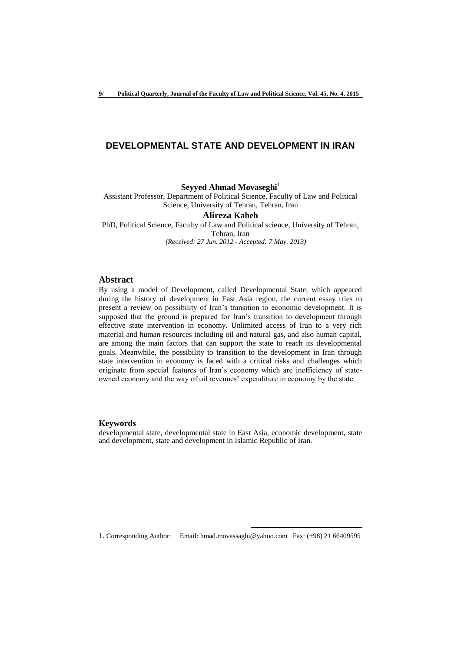## **DEVELOPMENTAL STATE AND DEVELOPMENT IN IRAN**

### **Seyyed Ahmad Movaseghi**<sup>1</sup>

Assistant Professor, Department of Political Science, Faculty of Law and Political Science, University of Tehran, Tehran, Iran

#### **Alireza Kaheh**

PhD, Political Science, Faculty of Law and Political science, University of Tehran, Tehran, Iran *(Received: 27 Jun. 2012 - Accepted: 7 May. 2013)*

## **Abstract**

By using a model of Development, called Developmental State, which appeared during the history of development in East Asia region, the current essay tries to present a review on possibility of Iran's transition to economic development. It is supposed that the ground is prepared for Iran's transition to development through effective state intervention in economy. Unlimited access of Iran to a very rich material and human resources including oil and natural gas, and also human capital, are among the main factors that can support the state to reach its developmental goals. Meanwhile, the possibility to transition to the development in Iran through state intervention in economy is faced with a critical risks and challenges which originate from special features of Iran's economy which are inefficiency of stateowned economy and the way of oil revenues' expenditure in economy by the state.

## **Keywords**

developmental state, developmental state in East Asia, economic development, state and development, state and development in Islamic Republic of Iran.

1. Corresponding Author: Email: hmad.movassaghi@yahoo.com Fax: (+98) 21 66409595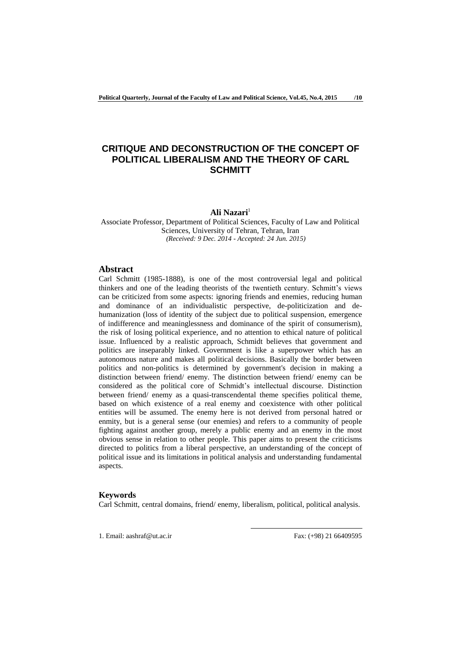# **CRITIQUE AND DECONSTRUCTION OF THE CONCEPT OF POLITICAL LIBERALISM AND THE THEORY OF CARL SCHMITT**

## **Ali Nazari**<sup>1</sup>

Associate Professor, Department of Political Sciences, Faculty of Law and Political Sciences, University of Tehran, Tehran, Iran *(Received: 9 Dec. 2014 - Accepted: 24 Jun. 2015)*

## **Abstract**

Carl Schmitt (1985-1888), is one of the most controversial legal and political thinkers and one of the leading theorists of the twentieth century. Schmitt's views can be criticized from some aspects: ignoring friends and enemies, reducing human and dominance of an individualistic perspective, de-politicization and dehumanization (loss of identity of the subject due to political suspension, emergence of indifference and meaninglessness and dominance of the spirit of consumerism), the risk of losing political experience, and no attention to ethical nature of political issue. Influenced by a realistic approach, Schmidt believes that government and politics are inseparably linked. Government is like a superpower which has an autonomous nature and makes all political decisions. Basically the border between politics and non-politics is determined by government's decision in making a distinction between friend/ enemy. The distinction between friend/ enemy can be considered as the political core of Schmidt's intellectual discourse. Distinction between friend/ enemy as a quasi-transcendental theme specifies political theme, based on which existence of a real enemy and coexistence with other political entities will be assumed. The enemy here is not derived from personal hatred or enmity, but is a general sense (our enemies) and refers to a community of people fighting against another group, merely a public enemy and an enemy in the most obvious sense in relation to other people. This paper aims to present the criticisms directed to politics from a liberal perspective, an understanding of the concept of political issue and its limitations in political analysis and understanding fundamental aspects.

### **Keywords**

Carl Schmitt, central domains, friend/ enemy, liberalism, political, political analysis.

1

1. Email: aashraf@ut.ac.ir Fax: (+98) 21 66409595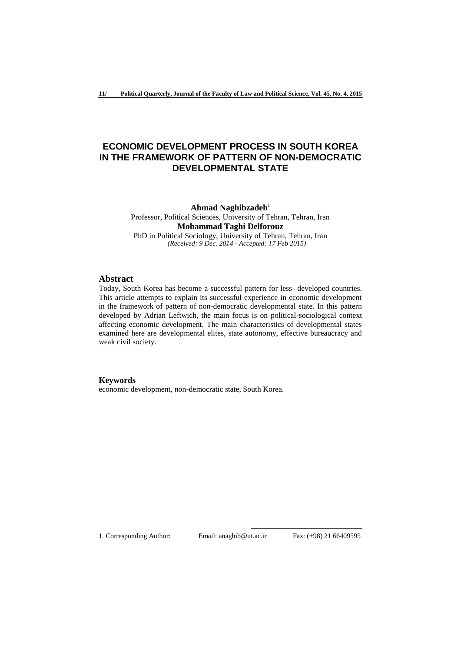# **ECONOMIC DEVELOPMENT PROCESS IN SOUTH KOREA IN THE FRAMEWORK OF PATTERN OF NON-DEMOCRATIC DEVELOPMENTAL STATE**

**Ahmad Naghibzadeh**<sup>1</sup> Professor, Political Sciences, University of Tehran, Tehran, Iran **Mohammad Taghi Delforouz**  PhD in Political Sociology, University of Tehran, Tehran, Iran *(Received: 9 Dec. 2014 - Accepted: 17 Feb 2015)*

## **Abstract**

Today, South Korea has become a successful pattern for less- developed countries. This article attempts to explain its successful experience in economic development in the framework of pattern of non-democratic developmental state. In this pattern developed by Adrian Leftwich, the main focus is on political-sociological context affecting economic development. The main characteristics of developmental states examined here are developmental elites, state autonomy, effective bureaucracy and weak civil society.

## **Keywords**

economic development, non-democratic state, South Korea.

1. Corresponding Author: Email: anaghib@ut.ac.ir Fax: (+98) 21 66409595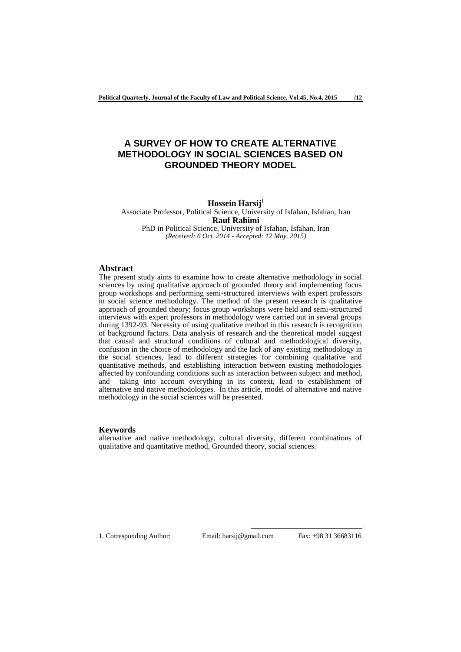# **A SURVEY OF HOW TO CREATE ALTERNATIVE METHODOLOGY IN SOCIAL SCIENCES BASED ON GROUNDED THEORY MODEL**

## **Hossein Harsij** 1

Associate Professor, Political Science, University of Isfahan, Isfahan, Iran **Rauf Rahimi**

PhD in Political Science, University of Isfahan, Isfahan, Iran *(Received: 6 Oct. 2014 - Accepted: 12 May. 2015)*

## **Abstract**

The present study aims to examine how to create alternative methodology in social sciences by using qualitative approach of grounded theory and implementing focus group workshops and performing semi-structured interviews with expert professors in social science methodology. The method of the present research is qualitative approach of grounded theory; focus group workshops were held and semi-structured interviews with expert professors in methodology were carried out in several groups during 1392-93. Necessity of using qualitative method in this research is recognition of background factors. Data analysis of research and the theoretical model suggest that causal and structural conditions of cultural and methodological diversity, confusion in the choice of methodology and the lack of any existing methodology in the social sciences, lead to different strategies for combining qualitative and quantitative methods, and establishing interaction between existing methodologies affected by confounding conditions such as interaction between subject and method, and taking into account everything in its context, lead to establishment of alternative and native methodologies. In this article, model of alternative and native methodology in the social sciences will be presented.

#### **Keywords**

alternative and native methodology, cultural diversity, different combinations of qualitative and quantitative method, Grounded theory, social sciences.

1. Corresponding Author: Email: harsij@gmail.com Fax: +98 31 36683116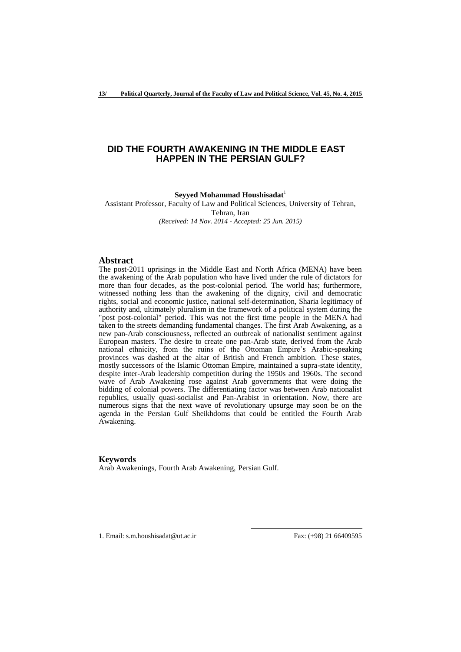## **DID THE FOURTH AWAKENING IN THE MIDDLE EAST HAPPEN IN THE PERSIAN GULF?**

## **Seyyed Mohammad Houshisadat**<sup>1</sup>

Assistant Professor, Faculty of Law and Political Sciences, University of Tehran, Tehran, Iran *(Received: 14 Nov. 2014 - Accepted: 25 Jun. 2015)*

### **Abstract**

The post-2011 uprisings in the Middle East and North Africa (MENA) have been the awakening of the Arab population who have lived under the rule of dictators for more than four decades, as the post-colonial period. The world has; furthermore, witnessed nothing less than the awakening of the dignity, civil and democratic rights, social and economic justice, national self-determination, Sharia legitimacy of authority and, ultimately pluralism in the framework of a political system during the "post post-colonial" period. This was not the first time people in the MENA had taken to the streets demanding fundamental changes. The first Arab Awakening, as a new pan-Arab consciousness, reflected an outbreak of nationalist sentiment against European masters. The desire to create one pan-Arab state, derived from the Arab national ethnicity, from the ruins of the Ottoman Empire's Arabic-speaking provinces was dashed at the altar of British and French ambition. These states, mostly successors of the Islamic Ottoman Empire, maintained a supra-state identity, despite inter-Arab leadership competition during the 1950s and 1960s. The second wave of Arab Awakening rose against Arab governments that were doing the bidding of colonial powers. The differentiating factor was between Arab nationalist republics, usually quasi-socialist and Pan-Arabist in orientation. Now, there are numerous signs that the next wave of revolutionary upsurge may soon be on the agenda in the Persian Gulf Sheikhdoms that could be entitled the Fourth Arab Awakening.

1

#### **Keywords**

Arab Awakenings, Fourth Arab Awakening, Persian Gulf.

1. Email: s.m.houshisadat@ut.ac.ir Fax: (+98) 21 66409595